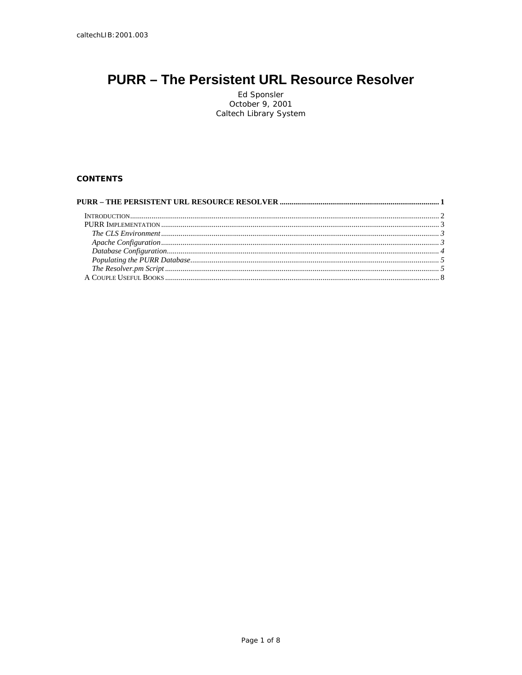# <span id="page-0-0"></span>**PURR - The Persistent URL Resource Resolver**

Ed Sponsler<br>October 9, 2001 Caltech Library System

# **CONTENTS**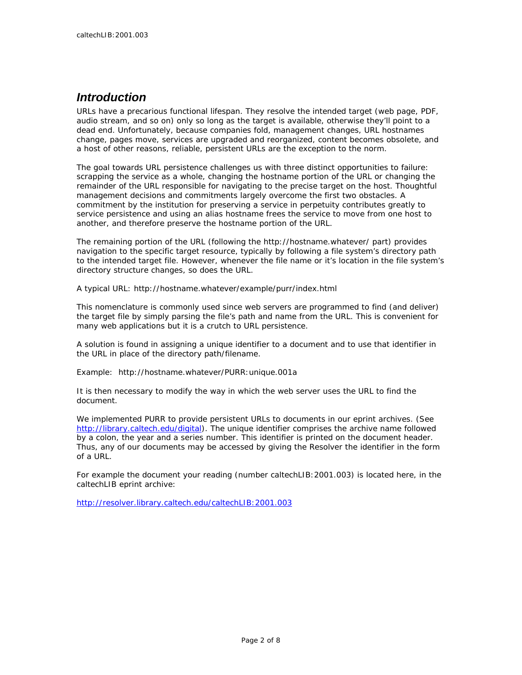# <span id="page-1-0"></span>*Introduction*

URLs have a precarious functional lifespan. They resolve the intended target (web page, PDF, audio stream, and so on) only so long as the target is available, otherwise they'll point to a dead end. Unfortunately, because companies fold, management changes, URL hostnames change, pages move, services are upgraded and reorganized, content becomes obsolete, and a host of other reasons, reliable, persistent URLs are the exception to the norm.

The goal towards URL persistence challenges us with three distinct opportunities to failure: scrapping the service as a whole, changing the hostname portion of the URL or changing the remainder of the URL responsible for navigating to the precise target on the host. Thoughtful management decisions and commitments largely overcome the first two obstacles. A commitment by the institution for preserving a service in perpetuity contributes greatly to service persistence and using an alias hostname frees the service to move from one host to another, and therefore preserve the hostname portion of the URL.

The remaining portion of the URL (following the http://hostname.whatever/ part) provides navigation to the specific target resource, typically by following a file system's directory path to the intended target file. However, whenever the file name or it's location in the file system's directory structure changes, so does the URL.

A typical URL: http://hostname.whatever/example/purr/index.html

This nomenclature is commonly used since web servers are programmed to find (and deliver) the target file by simply parsing the file's path and name from the URL. This is convenient for many web applications but it is a crutch to URL persistence.

A solution is found in assigning a unique identifier to a document and to use that identifier in the URL in place of the directory path/filename.

Example: http://hostname.whatever/PURR:unique.001a

It is then necessary to modify the way in which the web server uses the URL to find the document.

We implemented PURR to provide persistent URLs to documents in our eprint archives. (See <http://library.caltech.edu/digital>). The unique identifier comprises the archive name followed by a colon, the year and a series number. This identifier is printed on the document header. Thus, any of our documents may be accessed by giving the Resolver the identifier in the form of a URL.

For example the document your reading (number caltechLIB:2001.003) is located here, in the caltechLIB eprint archive:

<http://resolver.library.caltech.edu/caltechLIB:2001.003>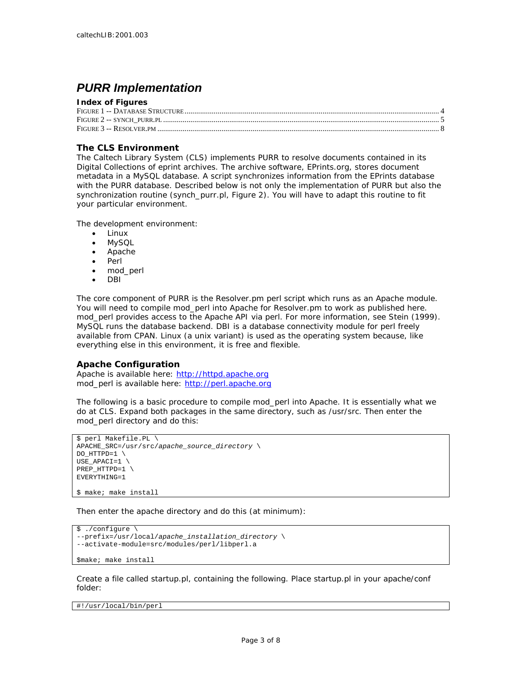# <span id="page-2-0"></span>*PURR Implementation*

#### **Index of Figures**

## **The CLS Environment**

The Caltech Library System (CLS) implements PURR to resolve documents contained in its Digital Collections of eprint archives. The archive software, EPrints.org, stores document metadata in a MySQL database. A script synchronizes information from the EPrints database with the PURR database. Described below is not only the implementation of PURR but also the synchronization routine (synch\_purr.pl, [Figure 2\)](#page-5-1). You will have to adapt this routine to fit your particular environment.

The development environment:

- Linux
- MySQL
- Apache
- Perl
- mod\_perl
- DBI

The core component of PURR is the Resolver.pm perl script which runs as an Apache module. You will need to compile mod\_perl into Apache for Resolver.pm to work as published here. mod perl provides access to the Apache API via perl. For more information, see Stein (1999). MySQL runs the database backend. DBI is a database connectivity module for perl freely available from CPAN. Linux (a unix variant) is used as the operating system because, like everything else in this environment, it is free and flexible.

#### **Apache Configuration**

Apache is available here: [http://httpd.apache.org](http://httpd.apache.org/) mod\_perl is available here: [http://perl.apache.org](http://perl.apache.org/)

The following is a basic procedure to compile mod\_perl into Apache. It is essentially what we do at CLS. Expand both packages in the same directory, such as /usr/src. Then enter the mod\_perl directory and do this:

```
$ perl Makefile.PL \ 
APACHE_SRC=/usr/src/apache_source_directory \ 
DO_HTTPD=1 \
USE_APACI=1 \ 
PREP_HTTPD=1 \ 
EVERYTHING=1
```
\$ make; make install

Then enter the apache directory and do this (at minimum):

```
$ ./configure \ 
--prefix=/usr/local/apache_installation_directory \ 
--activate-module=src/modules/perl/libperl.a 
$make; make install
```
Create a file called startup.pl, containing the following. Place startup.pl in your apache/conf folder:

#!/usr/local/bin/perl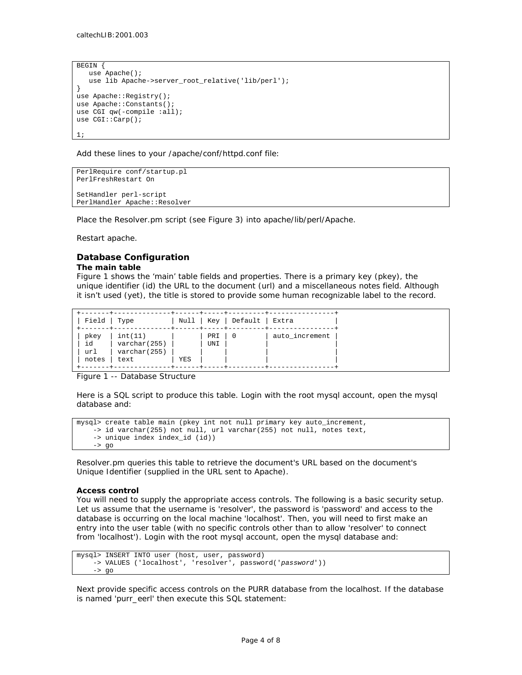```
BEGIN { 
    use Apache(); 
    use lib Apache->server_root_relative('lib/perl'); 
} 
use Apache::Registry();
use Apache::Constants(); 
use CGI qw(-compile :all);
use CGI::Carp(); 
1;
```
Add these lines to your /apache/conf/httpd.conf file:

```
PerlRequire conf/startup.pl 
PerlFreshRestart On 
SetHandler perl-script 
PerlHandler Apache::Resolver
```
Place the Resolver.pm script (see Figure 3) into apache/lib/perl/Apache.

Restart apache.

# **Database Configuration**

#### **The main table**

Figure 1 shows the 'main' table fields and properties. There is a primary key (pkey), the unique identifier (id) the URL to the document (url) and a miscellaneous notes field. Although it isn't used (yet), the title is stored to provide some human recognizable label to the record.

| Field Type                 |                                                 |     |            | Null   Key   Default   Extra |                |
|----------------------------|-------------------------------------------------|-----|------------|------------------------------|----------------|
| pkey<br>id<br>url<br>notes | int(11)<br>varchar(255)<br>varchar(255)<br>text | YES | PRI<br>UNI |                              | auto increment |

<span id="page-3-1"></span>Figure 1 -- Database Structure

Here is a SQL script to produce this table. Login with the root mysql account, open the mysql database and:

```
mysql> create table main (pkey int not null primary key auto_increment, 
    -> id varchar(255) not null, url varchar(255) not null, notes text, 
    -> unique index index_id (id)) 
     -> go
```
Resolver.pm queries this table to retrieve the document's URL based on the document's Unique Identifier (supplied in the URL sent to Apache).

#### **Access control**

You will need to supply the appropriate access controls. The following is a basic security setup. Let us assume that the username is 'resolver', the password is 'password' and access to the database is occurring on the local machine 'localhost'. Then, you will need to first make an entry into the user table (with no specific controls other than to allow 'resolver' to connect from 'localhost'). Login with the root mysql account, open the mysql database and:

```
mysql> INSERT INTO user (host, user, password) 
     -> VALUES ('localhost', 'resolver', password('password')) 
     -> go
```
Next provide specific access controls on the PURR database from the localhost. If the database is named 'purr\_eerl' then execute this SQL statement: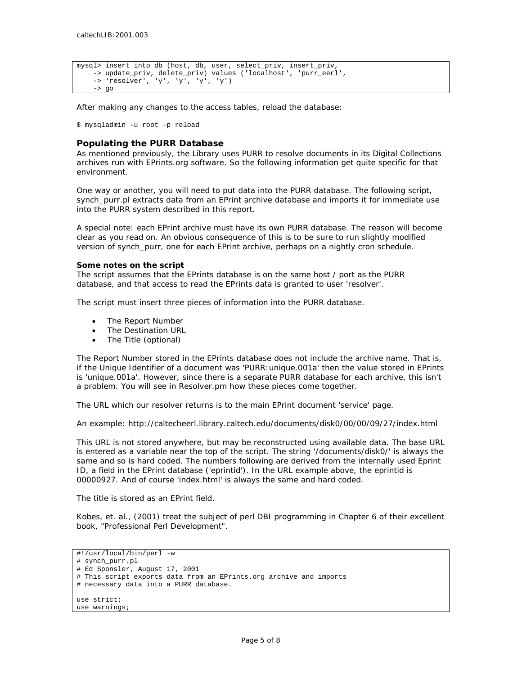```
mysql> insert into db (host, db, user, select_priv, insert_priv, 
     -> update_priv, delete_priv) values ('localhost', 'purr_eerl', 
     -> 'resolver', 'y', 'y', 'y', 'y') 
    \rightarrow go
```
After making any changes to the access tables, reload the database:

\$ mysqladmin -u root -p reload

#### **Populating the PURR Database**

As mentioned previously, the Library uses PURR to resolve documents in its Digital Collections archives run with EPrints.org software. So the following information get quite specific for that environment.

One way or another, you will need to put data into the PURR database. The following script, synch purr.pl extracts data from an EPrint archive database and imports it for immediate use into the PURR system described in this report.

A special note: each EPrint archive must have its own PURR database. The reason will become clear as you read on. An obvious consequence of this is to be sure to run slightly modified version of synch\_purr, one for each EPrint archive, perhaps on a nightly cron schedule.

#### **Some notes on the script**

The script assumes that the EPrints database is on the same host / port as the PURR database, and that access to read the EPrints data is granted to user 'resolver'.

The script must insert three pieces of information into the PURR database.

- The Report Number
- The Destination URL
- The Title (optional)

The Report Number stored in the EPrints database does not include the archive name. That is, if the Unique Identifier of a document was 'PURR:unique.001a' then the value stored in EPrints is 'unique.001a'. However, since there is a separate PURR database for each archive, this isn't a problem. You will see in Resolver.pm how these pieces come together.

The URL which our resolver returns is to the main EPrint document 'service' page.

An example: http://caltecheerl.library.caltech.edu/documents/disk0/00/00/09/27/index.html

This URL is not stored anywhere, but may be reconstructed using available data. The base URL is entered as a variable near the top of the script. The string '/documents/disk0/' is always the same and so is hard coded. The numbers following are derived from the internally used Eprint ID, a field in the EPrint database ('eprintid'). In the URL example above, the eprintid is 00000927. And of course 'index.html' is always the same and hard coded.

The title is stored as an EPrint field.

Kobes, et. al., (2001) treat the subject of perl DBI programming in Chapter 6 of their excellent book, "Professional Perl Development".

```
#!/usr/local/bin/perl -w 
# synch_purr.pl 
# Ed Sponsler, August 17, 2001 
# This script exports data from an EPrints.org archive and imports 
# necessary data into a PURR database. 
use strict; 
use warnings;
```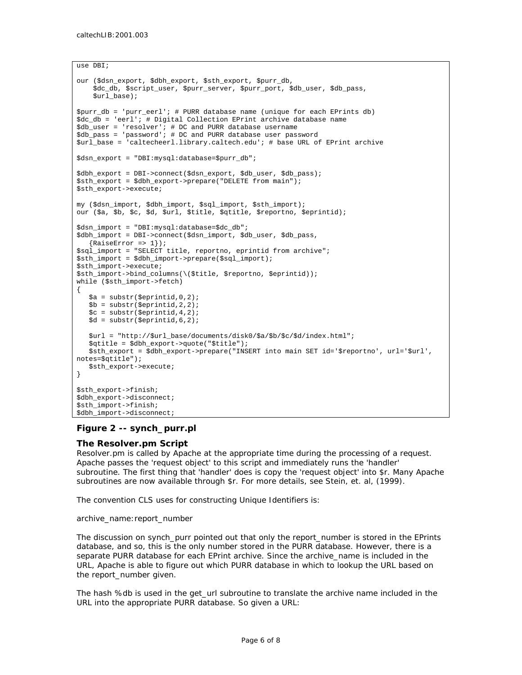```
use DBI; 
our ($dsn_export, $dbh_export, $sth_export, $purr_db, 
     $dc_db, $script_user, $purr_server, $purr_port, $db_user, $db_pass, 
     $url_base); 
$purr_db = 'purr_eerl'; # PURR database name (unique for each EPrints db) 
$dc_db = 'eerl'; # Digital Collection EPrint archive database name 
$db_user = 'resolver'; # DC and PURR database username 
$db_pass = 'password'; # DC and PURR database user password 
$url_base = 'caltecheerl.library.caltech.edu'; # base URL of EPrint archive 
$dsn_export = "DBI:mysql:database=$purr_db"; 
$dbh_export = DBI->connect($dsn_export, $db_user, $db_pass); 
$sth_export = $dbh_export->prepare("DELETE from main"); 
$sth_export->execute; 
my ($dsn_import, $dbh_import, $sql_import, $sth_import); 
our ($a, $b, $c, $d, $url, $title, $qtitle, $reportno, $eprintid); 
$dsn_import = "DBI:mysql:database=$dc_db"; 
$dbh_import = DBI->connect($dsn_import, $db_user, $db_pass, 
  {RaiseError = > 1};
$sql_import = "SELECT title, reportno, eprintid from archive"; 
$sth_import = $dbh_import->prepare($sql_import); 
$sth_import->execute; 
$sth_import->bind_columns(\($title, $reportno, $eprintid)); 
while ($sth_import->fetch) 
{ 
   \hat{a} = substr(\hat{5}eprintid, 0, 2);
   $b = substr(\xieprintid, 2, 2);
   \zetac = substr(\zetaeprintid, 4, 2);
   $d = substr(\xieprintid, 6, 2);
    $url = "http://$url_base/documents/disk0/$a/$b/$c/$d/index.html"; 
    $qtitle = $dbh_export->quote("$title"); 
    $sth_export = $dbh_export->prepare("INSERT into main SET id='$reportno', url='$url', 
notes=$qtitle"); 
   $sth_export->execute; 
} 
$sth_export->finish; 
$dbh_export->disconnect; 
$sth_import->finish; 
$dbh_import->disconnect;
```
### <span id="page-5-1"></span>**Figure 2 -- synch\_purr.pl**

### **The Resolver.pm Script**

Resolver.pm is called by Apache at the appropriate time during the processing of a request. Apache passes the 'request object' to this script and immediately runs the 'handler' subroutine. The first thing that 'handler' does is copy the 'request object' into \$r. Many Apache subroutines are now available through \$r. For more details, see Stein, et. al, (1999).

The convention CLS uses for constructing Unique Identifiers is:

#### archive\_name:report\_number

The discussion on synch\_purr pointed out that only the report\_number is stored in the EPrints database, and so, this is the only number stored in the PURR database. However, there is a separate PURR database for each EPrint archive. Since the archive\_name is included in the URL, Apache is able to figure out which PURR database in which to lookup the URL based on the report\_number given.

The hash %db is used in the get url subroutine to translate the archive name included in the URL into the appropriate PURR database. So given a URL: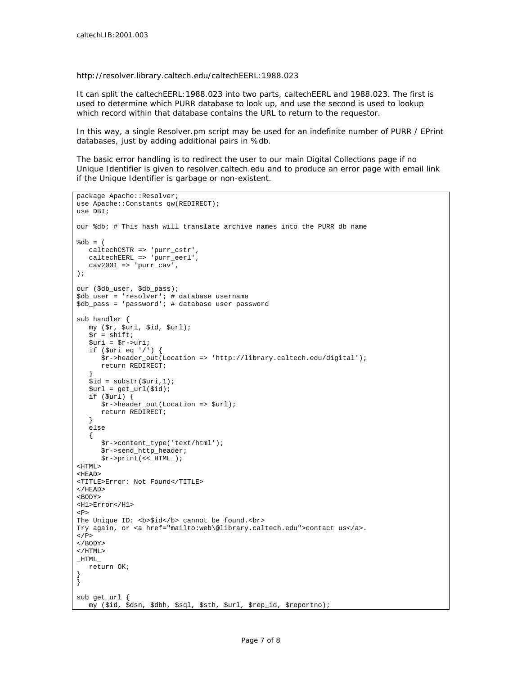http://resolver.library.caltech.edu/caltechEERL:1988.023

It can split the caltechEERL:1988.023 into two parts, caltechEERL and 1988.023. The first is used to determine which PURR database to look up, and use the second is used to lookup which record within that database contains the URL to return to the requestor.

In this way, a single Resolver.pm script may be used for an indefinite number of PURR / EPrint databases, just by adding additional pairs in %db.

The basic error handling is to redirect the user to our main Digital Collections page if no Unique Identifier is given to resolver.caltech.edu and to produce an error page with email link if the Unique Identifier is garbage or non-existent.

```
package Apache::Resolver; 
use Apache::Constants qw(REDIRECT);
use DBI; 
our %db; # This hash will translate archive names into the PURR db name 
$dh = ( caltechCSTR => 'purr_cstr', 
    caltechEERL => 'purr_eerl', 
   cav2001 \Rightarrow 'purr\_cav',); 
our ($db_user, $db_pass); 
$db_user = 'resolver'; # database username 
$db_pass = 'password'; # database user password 
sub handler { 
   my ($r, $uri, $id, $url); 
   \zeta r = \text{shift};
    $uri = $r->uri; 
    if ($uri eq '/') { 
       $r->header_out(Location => 'http://library.caltech.edu/digital'); 
       return REDIRECT; 
 } 
   $id = substr(\$uri, 1);$url = get\_url(<math>sid</math>);
    if ($url) { 
       $r->header_out(Location => $url); 
       return REDIRECT; 
    } 
    else 
    { 
       $r->content_type('text/html'); 
       $r->send_http_header; 
       $r->print(<<_HTML_); 
<HTML> 
<HEAD> 
<TITLE>Error: Not Found</TITLE> 
</HEAD><BODY> 
<H1>Error</H1> 
PThe Unique ID:  cannot be found.
Try again, or <a href="mailto:web\@library.caltech.edu">contact us</a>. 
</P>
</BODY> 
</HTML>
\_HTML\_ return OK; 
} 
} 
sub get_url { 
    my ($id, $dsn, $dbh, $sql, $sth, $url, $rep_id, $reportno);
```